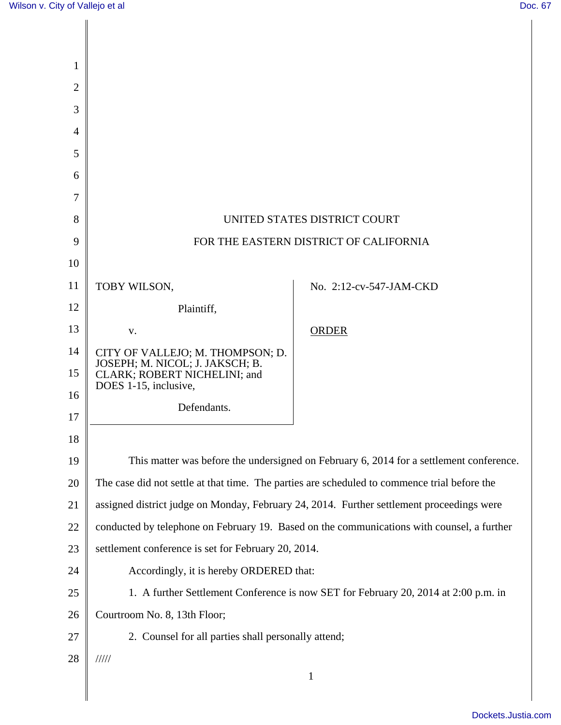| 1              |                                                                                              |                         |
|----------------|----------------------------------------------------------------------------------------------|-------------------------|
| $\overline{2}$ |                                                                                              |                         |
| 3              |                                                                                              |                         |
| $\overline{4}$ |                                                                                              |                         |
| 5              |                                                                                              |                         |
| 6              |                                                                                              |                         |
| 7              |                                                                                              |                         |
| 8              | UNITED STATES DISTRICT COURT                                                                 |                         |
| 9              | FOR THE EASTERN DISTRICT OF CALIFORNIA                                                       |                         |
| 10             |                                                                                              |                         |
| 11             | TOBY WILSON,                                                                                 | No. 2:12-cv-547-JAM-CKD |
| 12             | Plaintiff,                                                                                   |                         |
| 13             | V.                                                                                           | <b>ORDER</b>            |
| 14             | CITY OF VALLEJO; M. THOMPSON; D.                                                             |                         |
| 15             | JOSEPH; M. NICOL; J. JAKSCH; B.<br>CLARK; ROBERT NICHELINI; and                              |                         |
| 16             | DOES 1-15, inclusive,<br>Defendants.                                                         |                         |
| 17             |                                                                                              |                         |
| 18             |                                                                                              |                         |
| 19             | This matter was before the undersigned on February 6, 2014 for a settlement conference.      |                         |
| 20             | The case did not settle at that time. The parties are scheduled to commence trial before the |                         |
| 21             | assigned district judge on Monday, February 24, 2014. Further settlement proceedings were    |                         |
| 22             | conducted by telephone on February 19. Based on the communications with counsel, a further   |                         |
| 23             | settlement conference is set for February 20, 2014.                                          |                         |
| 24             | Accordingly, it is hereby ORDERED that:                                                      |                         |
| 25             | 1. A further Settlement Conference is now SET for February 20, 2014 at 2:00 p.m. in          |                         |
| 26             | Courtroom No. 8, 13th Floor;                                                                 |                         |
| 27             | 2. Counsel for all parties shall personally attend;                                          |                         |
| 28             | $\frac{1}{1}$                                                                                |                         |
|                |                                                                                              | $\mathbf{1}$            |
|                |                                                                                              |                         |